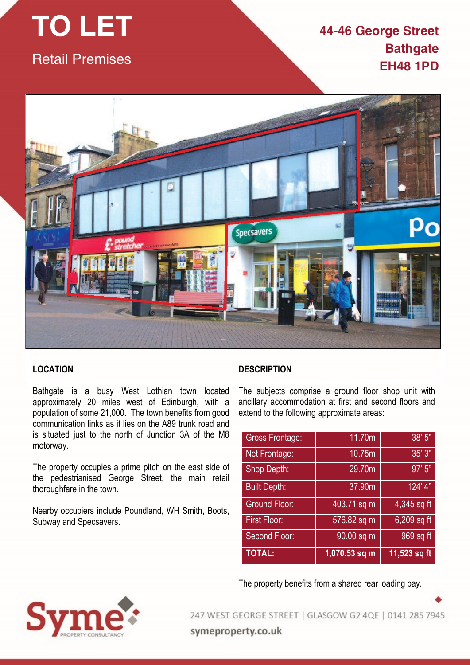# **TO LET** Retail Premises

# **44-46 George Street Bathgate EH48 1PD**



# **LOCATION**

Bathgate is a busy West Lothian town located approximately 20 miles west of Edinburgh, with a population of some 21,000. The town benefits from good communication links as it lies on the A89 trunk road and is situated just to the north of Junction 3A of the M8 motorway.

The property occupies a prime pitch on the east side of the pedestrianised George Street, the main retail thoroughfare in the town.

Nearby occupiers include Poundland, WH Smith, Boots, Subway and Specsavers.

## **DESCRIPTION**

The subjects comprise a ground floor shop unit with ancillary accommodation at first and second floors and extend to the following approximate areas:

| <b>Gross Frontage:</b> | 11.70m          | 38'5''         |
|------------------------|-----------------|----------------|
| Net Frontage:          | 10.75m          | 35'3"          |
| Shop Depth:            | 29.70m          | 97'5''         |
| <b>Built Depth:</b>    | 37.90m          | 124' 4"        |
| <b>Ground Floor:</b>   | 403.71 sq m     | 4,345 sq ft    |
| <b>First Floor:</b>    | 576.82 sq m     | 6,209 sq ft    |
| Second Floor:          | 90.00 sq m      | 969 sq ft      |
| <b>TOTAL:</b>          | $1,070.53$ sq m | $11,523$ sq ft |

The property benefits from a shared rear loading bay.



247 WEST GEORGE STREET | GLASGOW G2 4QE | 0141 285 7945 symeproperty.co.uk